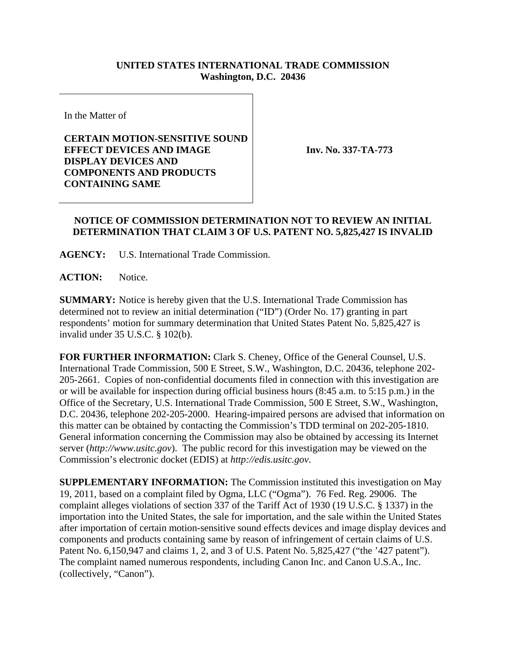## **UNITED STATES INTERNATIONAL TRADE COMMISSION Washington, D.C. 20436**

In the Matter of

## **CERTAIN MOTION-SENSITIVE SOUND EFFECT DEVICES AND IMAGE DISPLAY DEVICES AND COMPONENTS AND PRODUCTS CONTAINING SAME**

**Inv. No. 337-TA-773**

## **NOTICE OF COMMISSION DETERMINATION NOT TO REVIEW AN INITIAL DETERMINATION THAT CLAIM 3 OF U.S. PATENT NO. 5,825,427 IS INVALID**

**AGENCY:** U.S. International Trade Commission.

**ACTION:** Notice.

**SUMMARY:** Notice is hereby given that the U.S. International Trade Commission has determined not to review an initial determination ("ID") (Order No. 17) granting in part respondents' motion for summary determination that United States Patent No. 5,825,427 is invalid under 35 U.S.C. § 102(b).

**FOR FURTHER INFORMATION:** Clark S. Cheney, Office of the General Counsel, U.S. International Trade Commission, 500 E Street, S.W., Washington, D.C. 20436, telephone 202- 205-2661. Copies of non-confidential documents filed in connection with this investigation are or will be available for inspection during official business hours (8:45 a.m. to 5:15 p.m.) in the Office of the Secretary, U.S. International Trade Commission, 500 E Street, S.W., Washington, D.C. 20436, telephone 202-205-2000. Hearing-impaired persons are advised that information on this matter can be obtained by contacting the Commission's TDD terminal on 202-205-1810. General information concerning the Commission may also be obtained by accessing its Internet server (*http://www.usitc.gov*). The public record for this investigation may be viewed on the Commission's electronic docket (EDIS) at *http://edis.usitc.gov*.

**SUPPLEMENTARY INFORMATION:** The Commission instituted this investigation on May 19, 2011, based on a complaint filed by Ogma, LLC ("Ogma"). 76 Fed. Reg. 29006. The complaint alleges violations of section 337 of the Tariff Act of 1930 (19 U.S.C. § 1337) in the importation into the United States, the sale for importation, and the sale within the United States after importation of certain motion-sensitive sound effects devices and image display devices and components and products containing same by reason of infringement of certain claims of U.S. Patent No. 6,150,947 and claims 1, 2, and 3 of U.S. Patent No. 5,825,427 ("the '427 patent"). The complaint named numerous respondents, including Canon Inc. and Canon U.S.A., Inc. (collectively, "Canon").